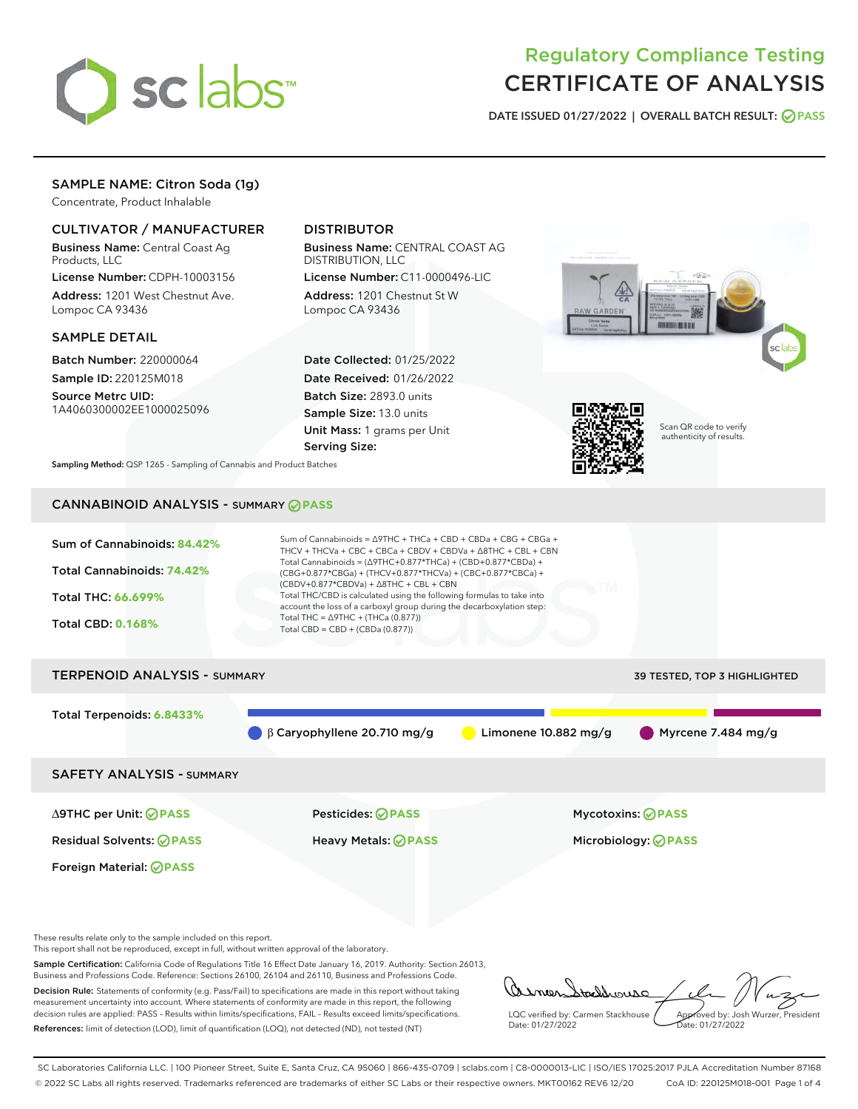

# Regulatory Compliance Testing CERTIFICATE OF ANALYSIS

DATE ISSUED 01/27/2022 | OVERALL BATCH RESULT: @ PASS

# SAMPLE NAME: Citron Soda (1g)

Concentrate, Product Inhalable

# CULTIVATOR / MANUFACTURER

Business Name: Central Coast Ag Products, LLC

License Number: CDPH-10003156 Address: 1201 West Chestnut Ave. Lompoc CA 93436

#### SAMPLE DETAIL

Batch Number: 220000064 Sample ID: 220125M018

Source Metrc UID: 1A4060300002EE1000025096

# DISTRIBUTOR

Business Name: CENTRAL COAST AG DISTRIBUTION, LLC

License Number: C11-0000496-LIC Address: 1201 Chestnut St W Lompoc CA 93436

Date Collected: 01/25/2022 Date Received: 01/26/2022 Batch Size: 2893.0 units Sample Size: 13.0 units Unit Mass: 1 grams per Unit Serving Size:





Scan QR code to verify authenticity of results.

Sampling Method: QSP 1265 - Sampling of Cannabis and Product Batches

# CANNABINOID ANALYSIS - SUMMARY **PASS**



These results relate only to the sample included on this report.

This report shall not be reproduced, except in full, without written approval of the laboratory.

Sample Certification: California Code of Regulations Title 16 Effect Date January 16, 2019. Authority: Section 26013, Business and Professions Code. Reference: Sections 26100, 26104 and 26110, Business and Professions Code. Decision Rule: Statements of conformity (e.g. Pass/Fail) to specifications are made in this report without taking

measurement uncertainty into account. Where statements of conformity are made in this report, the following decision rules are applied: PASS – Results within limits/specifications, FAIL – Results exceed limits/specifications. References: limit of detection (LOD), limit of quantification (LOQ), not detected (ND), not tested (NT)

tachnouse LQC verified by: Carmen Stackhouse Approved by: Josh Wurzer, President Date: 01/27/2022 ate: 01/27/2022

SC Laboratories California LLC. | 100 Pioneer Street, Suite E, Santa Cruz, CA 95060 | 866-435-0709 | sclabs.com | C8-0000013-LIC | ISO/IES 17025:2017 PJLA Accreditation Number 87168 © 2022 SC Labs all rights reserved. Trademarks referenced are trademarks of either SC Labs or their respective owners. MKT00162 REV6 12/20 CoA ID: 220125M018-001 Page 1 of 4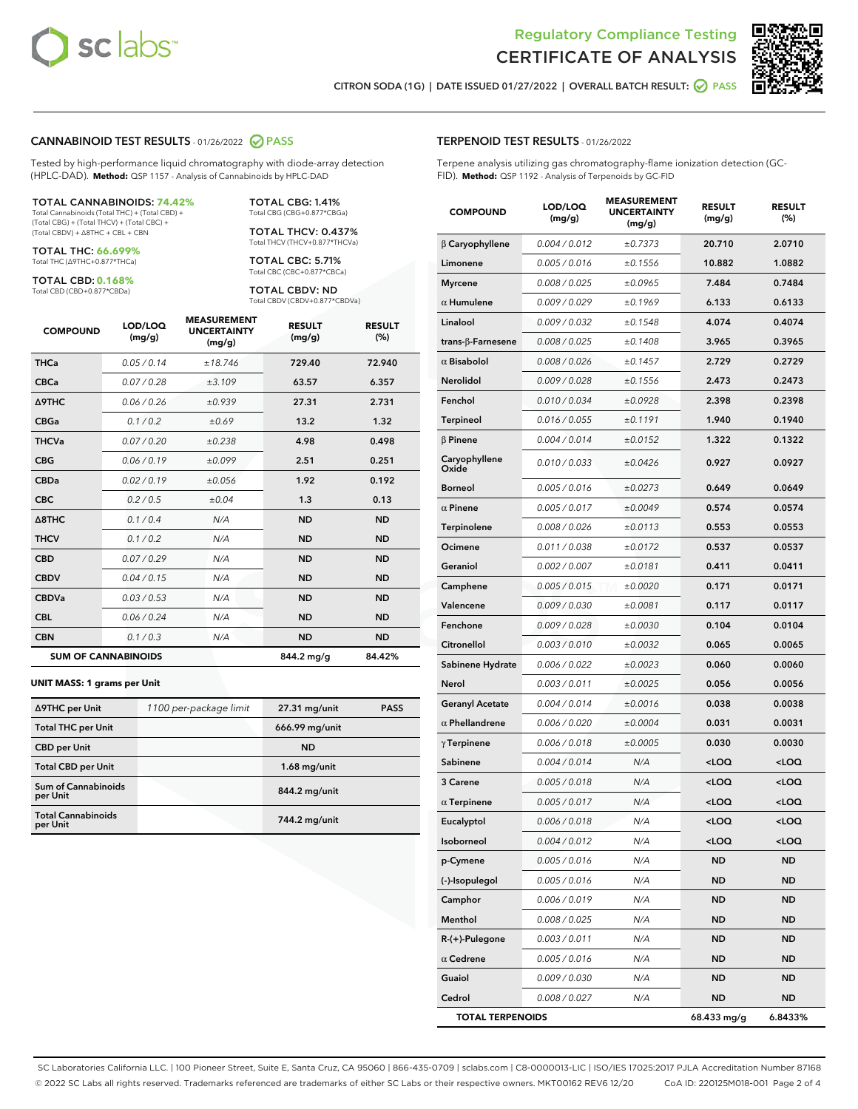



CITRON SODA (1G) | DATE ISSUED 01/27/2022 | OVERALL BATCH RESULT: @ PASS

#### CANNABINOID TEST RESULTS - 01/26/2022 2 PASS

Tested by high-performance liquid chromatography with diode-array detection (HPLC-DAD). **Method:** QSP 1157 - Analysis of Cannabinoids by HPLC-DAD

#### TOTAL CANNABINOIDS: **74.42%**

Total Cannabinoids (Total THC) + (Total CBD) + (Total CBG) + (Total THCV) + (Total CBC) + (Total CBDV) + ∆8THC + CBL + CBN

TOTAL THC: **66.699%** Total THC (∆9THC+0.877\*THCa)

TOTAL CBD: **0.168%**

Total CBD (CBD+0.877\*CBDa)

TOTAL CBG: 1.41% Total CBG (CBG+0.877\*CBGa)

TOTAL THCV: 0.437% Total THCV (THCV+0.877\*THCVa)

TOTAL CBC: 5.71% Total CBC (CBC+0.877\*CBCa)

TOTAL CBDV: ND Total CBDV (CBDV+0.877\*CBDVa)

| <b>COMPOUND</b>  | LOD/LOQ<br>(mg/g)          | <b>MEASUREMENT</b><br><b>UNCERTAINTY</b><br>(mg/g) | <b>RESULT</b><br>(mg/g) | <b>RESULT</b><br>(%) |
|------------------|----------------------------|----------------------------------------------------|-------------------------|----------------------|
| <b>THCa</b>      | 0.05 / 0.14                | ±18.746                                            | 729.40                  | 72.940               |
| <b>CBCa</b>      | 0.07 / 0.28                | ±3.109                                             | 63.57                   | 6.357                |
| <b>A9THC</b>     | 0.06 / 0.26                | ±0.939                                             | 27.31                   | 2.731                |
| <b>CBGa</b>      | 0.1/0.2                    | ±0.69                                              | 13.2                    | 1.32                 |
| <b>THCVa</b>     | 0.07/0.20                  | ±0.238                                             | 4.98                    | 0.498                |
| <b>CBG</b>       | 0.06/0.19                  | ±0.099                                             | 2.51                    | 0.251                |
| <b>CBDa</b>      | 0.02/0.19                  | ±0.056                                             | 1.92                    | 0.192                |
| <b>CBC</b>       | 0.2 / 0.5                  | ±0.04                                              | 1.3                     | 0.13                 |
| $\triangle$ 8THC | 0.1/0.4                    | N/A                                                | <b>ND</b>               | <b>ND</b>            |
| <b>THCV</b>      | 0.1 / 0.2                  | N/A                                                | <b>ND</b>               | <b>ND</b>            |
| <b>CBD</b>       | 0.07/0.29                  | N/A                                                | <b>ND</b>               | <b>ND</b>            |
| <b>CBDV</b>      | 0.04 / 0.15                | N/A                                                | <b>ND</b>               | <b>ND</b>            |
| <b>CBDVa</b>     | 0.03 / 0.53                | N/A                                                | <b>ND</b>               | <b>ND</b>            |
| <b>CBL</b>       | 0.06 / 0.24                | N/A                                                | <b>ND</b>               | <b>ND</b>            |
| <b>CBN</b>       | 0.1/0.3                    | N/A                                                | <b>ND</b>               | <b>ND</b>            |
|                  | <b>SUM OF CANNABINOIDS</b> |                                                    | 844.2 mg/g              | 84.42%               |

#### **UNIT MASS: 1 grams per Unit**

| ∆9THC per Unit                        | 1100 per-package limit | $27.31$ mg/unit | <b>PASS</b> |
|---------------------------------------|------------------------|-----------------|-------------|
| <b>Total THC per Unit</b>             |                        | 666.99 mg/unit  |             |
| <b>CBD</b> per Unit                   |                        | <b>ND</b>       |             |
| <b>Total CBD per Unit</b>             |                        | $1.68$ mg/unit  |             |
| Sum of Cannabinoids<br>per Unit       |                        | 844.2 mg/unit   |             |
| <b>Total Cannabinoids</b><br>per Unit |                        | 744.2 mg/unit   |             |

#### TERPENOID TEST RESULTS - 01/26/2022

Terpene analysis utilizing gas chromatography-flame ionization detection (GC-FID). **Method:** QSP 1192 - Analysis of Terpenoids by GC-FID

| <b>COMPOUND</b>         | LOD/LOQ<br>(mg/g)    | <b>MEASUREMENT</b><br><b>UNCERTAINTY</b><br>(mg/g) | <b>RESULT</b><br>(mg/g)                          | <b>RESULT</b><br>(%) |
|-------------------------|----------------------|----------------------------------------------------|--------------------------------------------------|----------------------|
| $\beta$ Caryophyllene   | 0.004 / 0.012        | ±0.7373                                            | 20.710                                           | 2.0710               |
| Limonene                | 0.005 / 0.016        | ±0.1556                                            | 10.882                                           | 1.0882               |
| <b>Myrcene</b>          | 0.008 / 0.025        | ±0.0965                                            | 7.484                                            | 0.7484               |
| $\alpha$ Humulene       | 0.009 / 0.029        | ±0.1969                                            | 6.133                                            | 0.6133               |
| Linalool                | 0.009 / 0.032        | ±0.1548                                            | 4.074                                            | 0.4074               |
| trans-ß-Farnesene       | 0.008 / 0.025        | ±0.1408                                            | 3.965                                            | 0.3965               |
| $\alpha$ Bisabolol      | 0.008 / 0.026        | ±0.1457                                            | 2.729                                            | 0.2729               |
| Nerolidol               | 0.009 / 0.028        | ±0.1556                                            | 2.473                                            | 0.2473               |
| Fenchol                 | 0.010 / 0.034        | ±0.0928                                            | 2.398                                            | 0.2398               |
| <b>Terpineol</b>        | 0.016 / 0.055        | ±0.1191                                            | 1.940                                            | 0.1940               |
| $\beta$ Pinene          | 0.004 / 0.014        | ±0.0152                                            | 1.322                                            | 0.1322               |
| Caryophyllene<br>Oxide  | 0.010 / 0.033        | ±0.0426                                            | 0.927                                            | 0.0927               |
| <b>Borneol</b>          | 0.005 / 0.016        | ±0.0273                                            | 0.649                                            | 0.0649               |
| $\alpha$ Pinene         | 0.005 / 0.017        | ±0.0049                                            | 0.574                                            | 0.0574               |
| <b>Terpinolene</b>      | 0.008 / 0.026        | ±0.0113                                            | 0.553                                            | 0.0553               |
| Ocimene                 | 0.011 / 0.038        | ±0.0172                                            | 0.537                                            | 0.0537               |
| Geraniol                | 0.002 / 0.007        | ±0.0181                                            | 0.411                                            | 0.0411               |
| Camphene                | 0.005 / 0.015        | ±0.0020                                            | 0.171                                            | 0.0171               |
| Valencene               | <i>0.009 / 0.030</i> | ±0.0081                                            | 0.117                                            | 0.0117               |
| Fenchone                | 0.009 / 0.028        | ±0.0030                                            | 0.104                                            | 0.0104               |
| Citronellol             | 0.003 / 0.010        | ±0.0032                                            | 0.065                                            | 0.0065               |
| Sabinene Hydrate        | 0.006 / 0.022        | ±0.0023                                            | 0.060                                            | 0.0060               |
| Nerol                   | 0.003 / 0.011        | ±0.0025                                            | 0.056                                            | 0.0056               |
| <b>Geranyl Acetate</b>  | 0.004 / 0.014        | ±0.0016                                            | 0.038                                            | 0.0038               |
| $\alpha$ Phellandrene   | 0.006 / 0.020        | ±0.0004                                            | 0.031                                            | 0.0031               |
| $\gamma$ Terpinene      | 0.006 / 0.018        | ±0.0005                                            | 0.030                                            | 0.0030               |
| Sabinene                | 0.004 / 0.014        | N/A                                                | <loq< th=""><th><loq< th=""></loq<></th></loq<>  | <loq< th=""></loq<>  |
| 3 Carene                | 0.005 / 0.018        | N/A                                                | <loq< th=""><th><loq< th=""></loq<></th></loq<>  | <loq< th=""></loq<>  |
| $\alpha$ Terpinene      | 0.005 / 0.017        | N/A                                                | <loq< th=""><th><loq< th=""></loq<></th></loq<>  | <loq< th=""></loq<>  |
| Eucalyptol              | 0.006 / 0.018        | N/A                                                | <loq< th=""><th><math>&lt;</math>LOQ</th></loq<> | $<$ LOQ              |
| Isoborneol              | 0.004 / 0.012        | N/A                                                | <loq< th=""><th><loq< th=""></loq<></th></loq<>  | <loq< th=""></loq<>  |
| p-Cymene                | 0.005 / 0.016        | N/A                                                | ND                                               | ND                   |
| (-)-Isopulegol          | 0.005 / 0.016        | N/A                                                | <b>ND</b>                                        | ND                   |
| Camphor                 | 0.006 / 0.019        | N/A                                                | ND                                               | ND                   |
| Menthol                 | 0.008 / 0.025        | N/A                                                | ND                                               | ND                   |
| R-(+)-Pulegone          | 0.003 / 0.011        | N/A                                                | <b>ND</b>                                        | ND                   |
| $\alpha$ Cedrene        | 0.005 / 0.016        | N/A                                                | ND                                               | ND                   |
| Guaiol                  | 0.009 / 0.030        | N/A                                                | ND                                               | ND                   |
| Cedrol                  | 0.008 / 0.027        | N/A                                                | <b>ND</b>                                        | <b>ND</b>            |
| <b>TOTAL TERPENOIDS</b> |                      |                                                    | 68.433 mg/g                                      | 6.8433%              |

SC Laboratories California LLC. | 100 Pioneer Street, Suite E, Santa Cruz, CA 95060 | 866-435-0709 | sclabs.com | C8-0000013-LIC | ISO/IES 17025:2017 PJLA Accreditation Number 87168 © 2022 SC Labs all rights reserved. Trademarks referenced are trademarks of either SC Labs or their respective owners. MKT00162 REV6 12/20 CoA ID: 220125M018-001 Page 2 of 4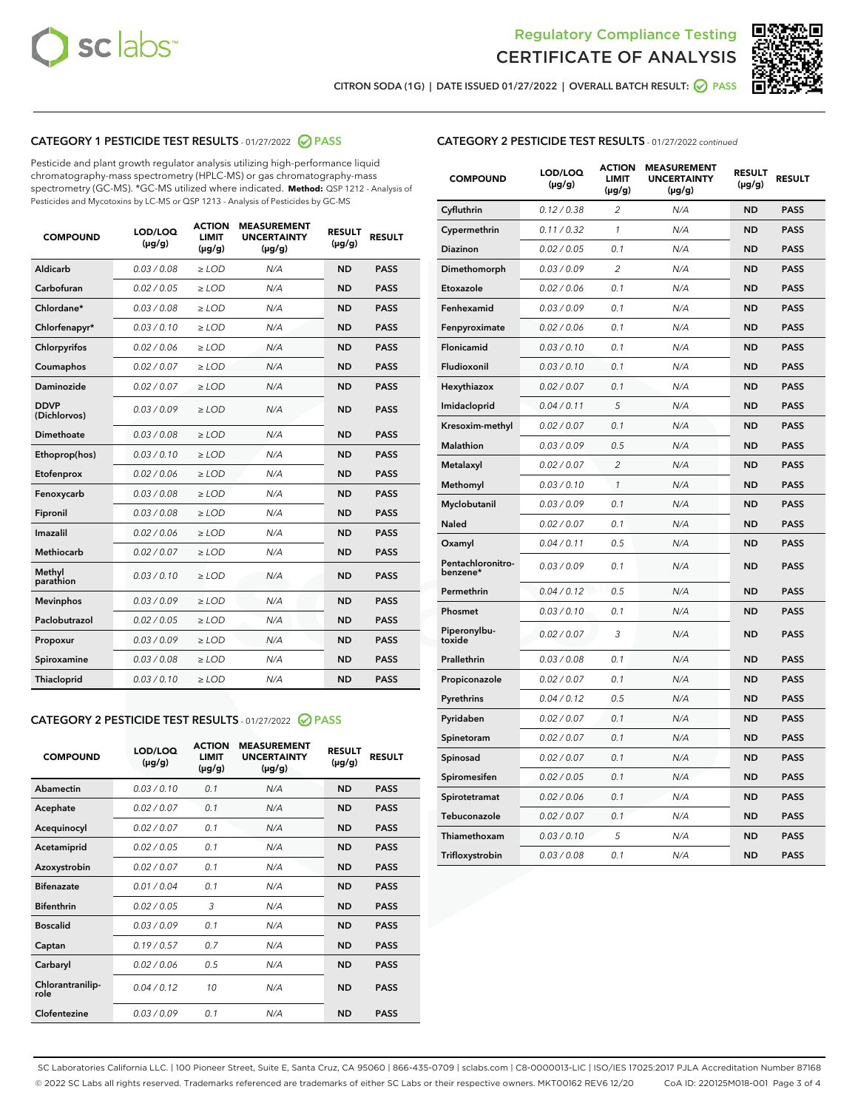



CITRON SODA (1G) | DATE ISSUED 01/27/2022 | OVERALL BATCH RESULT:  $\bigcirc$  PASS

# CATEGORY 1 PESTICIDE TEST RESULTS - 01/27/2022 2 PASS

Pesticide and plant growth regulator analysis utilizing high-performance liquid chromatography-mass spectrometry (HPLC-MS) or gas chromatography-mass spectrometry (GC-MS). \*GC-MS utilized where indicated. **Method:** QSP 1212 - Analysis of Pesticides and Mycotoxins by LC-MS or QSP 1213 - Analysis of Pesticides by GC-MS

| <b>COMPOUND</b>             | LOD/LOQ<br>$(\mu g/g)$ | <b>ACTION</b><br><b>LIMIT</b><br>$(\mu g/g)$ | <b>MEASUREMENT</b><br><b>UNCERTAINTY</b><br>$(\mu g/g)$ | <b>RESULT</b><br>$(\mu g/g)$ | <b>RESULT</b> |
|-----------------------------|------------------------|----------------------------------------------|---------------------------------------------------------|------------------------------|---------------|
| Aldicarb                    | 0.03 / 0.08            | $\ge$ LOD                                    | N/A                                                     | <b>ND</b>                    | <b>PASS</b>   |
| Carbofuran                  | 0.02/0.05              | $>$ LOD                                      | N/A                                                     | <b>ND</b>                    | <b>PASS</b>   |
| Chlordane*                  | 0.03 / 0.08            | $\ge$ LOD                                    | N/A                                                     | <b>ND</b>                    | <b>PASS</b>   |
| Chlorfenapyr*               | 0.03/0.10              | $>$ LOD                                      | N/A                                                     | <b>ND</b>                    | <b>PASS</b>   |
| Chlorpyrifos                | 0.02 / 0.06            | $\ge$ LOD                                    | N/A                                                     | <b>ND</b>                    | <b>PASS</b>   |
| Coumaphos                   | 0.02 / 0.07            | $\ge$ LOD                                    | N/A                                                     | <b>ND</b>                    | <b>PASS</b>   |
| Daminozide                  | 0.02 / 0.07            | $\ge$ LOD                                    | N/A                                                     | <b>ND</b>                    | <b>PASS</b>   |
| <b>DDVP</b><br>(Dichlorvos) | 0.03/0.09              | $\ge$ LOD                                    | N/A                                                     | <b>ND</b>                    | <b>PASS</b>   |
| Dimethoate                  | 0.03/0.08              | $>$ LOD                                      | N/A                                                     | <b>ND</b>                    | <b>PASS</b>   |
| Ethoprop(hos)               | 0.03/0.10              | $\ge$ LOD                                    | N/A                                                     | <b>ND</b>                    | <b>PASS</b>   |
| Etofenprox                  | 0.02 / 0.06            | $\ge$ LOD                                    | N/A                                                     | <b>ND</b>                    | <b>PASS</b>   |
| Fenoxycarb                  | 0.03 / 0.08            | $\ge$ LOD                                    | N/A                                                     | <b>ND</b>                    | <b>PASS</b>   |
| Fipronil                    | 0.03/0.08              | $>$ LOD                                      | N/A                                                     | <b>ND</b>                    | <b>PASS</b>   |
| Imazalil                    | 0.02 / 0.06            | $\ge$ LOD                                    | N/A                                                     | <b>ND</b>                    | <b>PASS</b>   |
| <b>Methiocarb</b>           | 0.02 / 0.07            | $\ge$ LOD                                    | N/A                                                     | <b>ND</b>                    | <b>PASS</b>   |
| Methyl<br>parathion         | 0.03/0.10              | $\ge$ LOD                                    | N/A                                                     | <b>ND</b>                    | <b>PASS</b>   |
| <b>Mevinphos</b>            | 0.03/0.09              | $>$ LOD                                      | N/A                                                     | <b>ND</b>                    | <b>PASS</b>   |
| Paclobutrazol               | 0.02 / 0.05            | $\ge$ LOD                                    | N/A                                                     | <b>ND</b>                    | <b>PASS</b>   |
| Propoxur                    | 0.03/0.09              | $\ge$ LOD                                    | N/A                                                     | <b>ND</b>                    | <b>PASS</b>   |
| Spiroxamine                 | 0.03 / 0.08            | $\ge$ LOD                                    | N/A                                                     | <b>ND</b>                    | <b>PASS</b>   |
| Thiacloprid                 | 0.03/0.10              | $\ge$ LOD                                    | N/A                                                     | <b>ND</b>                    | <b>PASS</b>   |

#### CATEGORY 2 PESTICIDE TEST RESULTS - 01/27/2022 2 PASS

| <b>COMPOUND</b>          | LOD/LOO<br>$(\mu g/g)$ | <b>ACTION</b><br>LIMIT<br>$(\mu g/g)$ | <b>MEASUREMENT</b><br><b>UNCERTAINTY</b><br>$(\mu g/g)$ | <b>RESULT</b><br>$(\mu g/g)$ | <b>RESULT</b> |  |
|--------------------------|------------------------|---------------------------------------|---------------------------------------------------------|------------------------------|---------------|--|
| Abamectin                | 0.03/0.10              | 0.1                                   | N/A                                                     | <b>ND</b>                    | <b>PASS</b>   |  |
| Acephate                 | 0.02/0.07              | 0.1                                   | N/A                                                     | <b>ND</b>                    | <b>PASS</b>   |  |
| Acequinocyl              | 0.02/0.07              | 0.1                                   | N/A                                                     | <b>ND</b>                    | <b>PASS</b>   |  |
| Acetamiprid              | 0.02 / 0.05            | 0.1                                   | N/A                                                     | <b>ND</b>                    | <b>PASS</b>   |  |
| Azoxystrobin             | 0.02/0.07              | 0.1                                   | N/A                                                     | <b>ND</b>                    | <b>PASS</b>   |  |
| <b>Bifenazate</b>        | 0.01 / 0.04            | 0.1                                   | N/A                                                     | <b>ND</b>                    | <b>PASS</b>   |  |
| <b>Bifenthrin</b>        | 0.02 / 0.05            | 3                                     | N/A                                                     | <b>ND</b>                    | <b>PASS</b>   |  |
| <b>Boscalid</b>          | 0.03/0.09              | 0.1                                   | N/A                                                     | <b>ND</b>                    | <b>PASS</b>   |  |
| Captan                   | 0.19/0.57              | 0.7                                   | N/A                                                     | <b>ND</b>                    | <b>PASS</b>   |  |
| Carbaryl                 | 0.02/0.06              | 0.5                                   | N/A                                                     | <b>ND</b>                    | <b>PASS</b>   |  |
| Chlorantranilip-<br>role | 0.04/0.12              | 10                                    | N/A                                                     | <b>ND</b>                    | <b>PASS</b>   |  |
| Clofentezine             | 0.03/0.09              | 0.1                                   | N/A                                                     | <b>ND</b>                    | <b>PASS</b>   |  |

| <b>CATEGORY 2 PESTICIDE TEST RESULTS</b> - 01/27/2022 continued |
|-----------------------------------------------------------------|
|                                                                 |

| <b>COMPOUND</b>               | LOD/LOQ<br>$(\mu g/g)$ | <b>ACTION</b><br>LIMIT<br>(µg/g) | <b>MEASUREMENT</b><br><b>UNCERTAINTY</b><br>(µg/g) | <b>RESULT</b><br>$(\mu g/g)$ | <b>RESULT</b> |
|-------------------------------|------------------------|----------------------------------|----------------------------------------------------|------------------------------|---------------|
| Cyfluthrin                    | 0.12 / 0.38            | $\overline{2}$                   | N/A                                                | <b>ND</b>                    | <b>PASS</b>   |
| Cypermethrin                  | 0.11/0.32              | 1                                | N/A                                                | <b>ND</b>                    | <b>PASS</b>   |
| Diazinon                      | 0.02 / 0.05            | 0.1                              | N/A                                                | <b>ND</b>                    | <b>PASS</b>   |
| Dimethomorph                  | 0.03 / 0.09            | $\overline{2}$                   | N/A                                                | <b>ND</b>                    | <b>PASS</b>   |
| Etoxazole                     | 0.02 / 0.06            | 0.1                              | N/A                                                | <b>ND</b>                    | <b>PASS</b>   |
| Fenhexamid                    | 0.03 / 0.09            | 0.1                              | N/A                                                | <b>ND</b>                    | <b>PASS</b>   |
| Fenpyroximate                 | 0.02 / 0.06            | 0.1                              | N/A                                                | <b>ND</b>                    | <b>PASS</b>   |
| Flonicamid                    | 0.03 / 0.10            | 0.1                              | N/A                                                | <b>ND</b>                    | <b>PASS</b>   |
| Fludioxonil                   | 0.03 / 0.10            | 0.1                              | N/A                                                | <b>ND</b>                    | <b>PASS</b>   |
| Hexythiazox                   | 0.02 / 0.07            | 0.1                              | N/A                                                | <b>ND</b>                    | <b>PASS</b>   |
| Imidacloprid                  | 0.04 / 0.11            | 5                                | N/A                                                | <b>ND</b>                    | <b>PASS</b>   |
| Kresoxim-methyl               | 0.02 / 0.07            | 0.1                              | N/A                                                | <b>ND</b>                    | <b>PASS</b>   |
| Malathion                     | 0.03 / 0.09            | 0.5                              | N/A                                                | <b>ND</b>                    | <b>PASS</b>   |
| Metalaxyl                     | 0.02 / 0.07            | $\overline{c}$                   | N/A                                                | <b>ND</b>                    | <b>PASS</b>   |
| Methomyl                      | 0.03 / 0.10            | 1                                | N/A                                                | <b>ND</b>                    | <b>PASS</b>   |
| Myclobutanil                  | 0.03 / 0.09            | 0.1                              | N/A                                                | <b>ND</b>                    | <b>PASS</b>   |
| Naled                         | 0.02 / 0.07            | 0.1                              | N/A                                                | <b>ND</b>                    | <b>PASS</b>   |
| Oxamyl                        | 0.04 / 0.11            | 0.5                              | N/A                                                | ND                           | <b>PASS</b>   |
| Pentachloronitro-<br>benzene* | 0.03 / 0.09            | 0.1                              | N/A                                                | <b>ND</b>                    | <b>PASS</b>   |
| Permethrin                    | 0.04/0.12              | 0.5                              | N/A                                                | <b>ND</b>                    | <b>PASS</b>   |
| Phosmet                       | 0.03 / 0.10            | 0.1                              | N/A                                                | <b>ND</b>                    | <b>PASS</b>   |
| Piperonylbu-<br>toxide        | 0.02 / 0.07            | 3                                | N/A                                                | <b>ND</b>                    | <b>PASS</b>   |
| Prallethrin                   | 0.03 / 0.08            | 0.1                              | N/A                                                | <b>ND</b>                    | <b>PASS</b>   |
| Propiconazole                 | 0.02 / 0.07            | 0.1                              | N/A                                                | <b>ND</b>                    | <b>PASS</b>   |
| Pyrethrins                    | 0.04 / 0.12            | 0.5                              | N/A                                                | <b>ND</b>                    | <b>PASS</b>   |
| Pyridaben                     | 0.02 / 0.07            | 0.1                              | N/A                                                | <b>ND</b>                    | <b>PASS</b>   |
| Spinetoram                    | 0.02 / 0.07            | 0.1                              | N/A                                                | <b>ND</b>                    | <b>PASS</b>   |
| Spinosad                      | 0.02 / 0.07            | 0.1                              | N/A                                                | <b>ND</b>                    | <b>PASS</b>   |
| Spiromesifen                  | 0.02 / 0.05            | 0.1                              | N/A                                                | ND                           | <b>PASS</b>   |
| Spirotetramat                 | 0.02 / 0.06            | 0.1                              | N/A                                                | <b>ND</b>                    | <b>PASS</b>   |
| Tebuconazole                  | 0.02 / 0.07            | 0.1                              | N/A                                                | <b>ND</b>                    | <b>PASS</b>   |
| Thiamethoxam                  | 0.03 / 0.10            | 5                                | N/A                                                | <b>ND</b>                    | <b>PASS</b>   |
| Trifloxystrobin               | 0.03 / 0.08            | 0.1                              | N/A                                                | <b>ND</b>                    | <b>PASS</b>   |

SC Laboratories California LLC. | 100 Pioneer Street, Suite E, Santa Cruz, CA 95060 | 866-435-0709 | sclabs.com | C8-0000013-LIC | ISO/IES 17025:2017 PJLA Accreditation Number 87168 © 2022 SC Labs all rights reserved. Trademarks referenced are trademarks of either SC Labs or their respective owners. MKT00162 REV6 12/20 CoA ID: 220125M018-001 Page 3 of 4